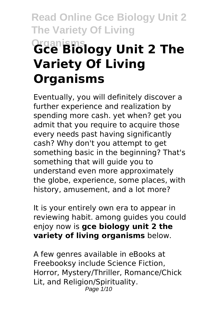# **Read Online Gce Biology Unit 2 The Variety Of Living Organisms Gce Biology Unit 2 The Variety Of Living Organisms**

Eventually, you will definitely discover a further experience and realization by spending more cash. yet when? get you admit that you require to acquire those every needs past having significantly cash? Why don't you attempt to get something basic in the beginning? That's something that will guide you to understand even more approximately the globe, experience, some places, with history, amusement, and a lot more?

It is your entirely own era to appear in reviewing habit. among guides you could enjoy now is **gce biology unit 2 the variety of living organisms** below.

A few genres available in eBooks at Freebooksy include Science Fiction, Horror, Mystery/Thriller, Romance/Chick Lit, and Religion/Spirituality. Page 1/10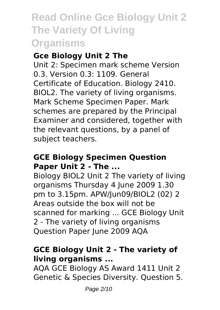#### **Gce Biology Unit 2 The**

Unit 2: Specimen mark scheme Version 0.3. Version 0.3: 1109. General Certificate of Education. Biology 2410. BIOL2. The variety of living organisms. Mark Scheme Specimen Paper. Mark schemes are prepared by the Principal Examiner and considered, together with the relevant questions, by a panel of subject teachers.

#### **GCE Biology Specimen Question Paper Unit 2 - The ...**

Biology BIOL2 Unit 2 The variety of living organisms Thursday 4 June 2009 1.30 pm to 3.15pm. APW/Jun09/BIOL2 (02) 2 Areas outside the box will not be scanned for marking ... GCE Biology Unit 2 - The variety of living organisms Question Paper June 2009 AQA

### **GCE Biology Unit 2 - The variety of living organisms ...**

AQA GCE Biology AS Award 1411 Unit 2 Genetic & Species Diversity. Question 5.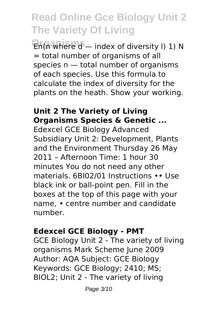En(n where d – index of diversity l) 1) N = total number of organisms of all species n — total number of organisms of each species. Use this formula to calculate the index of diversity for the plants on the heath. Show your working.

### **Unit 2 The Variety of Living Organisms Species & Genetic ...**

Edexcel GCE Biology Advanced Subsidiary Unit 2: Development, Plants and the Environment Thursday 26 May 2011 – Afternoon Time: 1 hour 30 minutes You do not need any other materials. 6BI02/01 Instructions •• Use black ink or ball-point pen. Fill in the boxes at the top of this page with your name, • centre number and candidate number.

### **Edexcel GCE Biology - PMT**

GCE Biology Unit 2 - The variety of living organisms Mark Scheme June 2009 Author: AQA Subject: GCE Biology Keywords: GCE Biology; 2410; MS; BIOL2; Unit 2 - The variety of living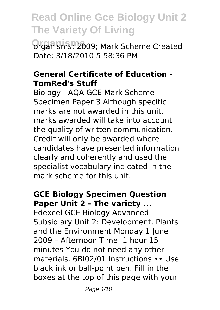**Organisms; 2009; Mark Scheme Created** Date: 3/18/2010 5:58:36 PM

#### **General Certificate of Education - TomRed's Stuff**

Biology - AQA GCE Mark Scheme Specimen Paper 3 Although specific marks are not awarded in this unit marks awarded will take into account the quality of written communication. Credit will only be awarded where candidates have presented information clearly and coherently and used the specialist vocabulary indicated in the mark scheme for this unit.

### **GCE Biology Specimen Question Paper Unit 2 - The variety ...**

Edexcel GCE Biology Advanced Subsidiary Unit 2: Development, Plants and the Environment Monday 1 June 2009 – Afternoon Time: 1 hour 15 minutes You do not need any other materials. 6BI02/01 Instructions •• Use black ink or ball-point pen. Fill in the boxes at the top of this page with your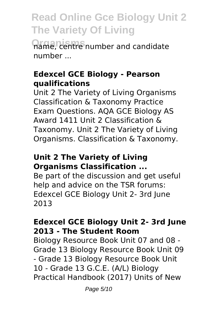**Organisms** name, centre number and candidate number ...

#### **Edexcel GCE Biology - Pearson qualifications**

Unit 2 The Variety of Living Organisms Classification & Taxonomy Practice Exam Questions. AQA GCE Biology AS Award 1411 Unit 2 Classification & Taxonomy. Unit 2 The Variety of Living Organisms. Classification & Taxonomy.

#### **Unit 2 The Variety of Living Organisms Classification ...**

Be part of the discussion and get useful help and advice on the TSR forums: Edexcel GCE Biology Unit 2- 3rd June 2013

### **Edexcel GCE Biology Unit 2- 3rd June 2013 - The Student Room**

Biology Resource Book Unit 07 and 08 - Grade 13 Biology Resource Book Unit 09 - Grade 13 Biology Resource Book Unit 10 - Grade 13 G.C.E. (A/L) Biology Practical Handbook (2017) Units of New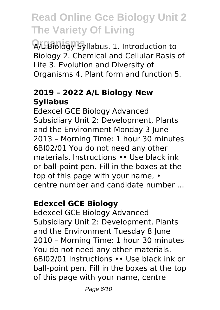**Organisms** A/L Biology Syllabus. 1. Introduction to Biology 2. Chemical and Cellular Basis of Life 3. Evolution and Diversity of Organisms 4. Plant form and function 5.

### **2019 – 2022 A/L Biology New Syllabus**

Edexcel GCE Biology Advanced Subsidiary Unit 2: Development, Plants and the Environment Monday 3 June 2013 – Morning Time: 1 hour 30 minutes 6BI02/01 You do not need any other materials. Instructions •• Use black ink or ball-point pen. Fill in the boxes at the top of this page with your name, • centre number and candidate number ...

### **Edexcel GCE Biology**

Edexcel GCE Biology Advanced Subsidiary Unit 2: Development, Plants and the Environment Tuesday 8 June 2010 – Morning Time: 1 hour 30 minutes You do not need any other materials. 6BI02/01 Instructions •• Use black ink or ball-point pen. Fill in the boxes at the top of this page with your name, centre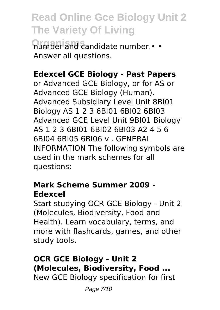**<u>Orimber and candidate number.**• •</u> Answer all questions.

### **Edexcel GCE Biology - Past Papers**

or Advanced GCE Biology, or for AS or Advanced GCE Biology (Human). Advanced Subsidiary Level Unit 8BI01 Biology AS 1 2 3 6BI01 6BI02 6BI03 Advanced GCE Level Unit 9BI01 Biology AS 1 2 3 6BI01 6BI02 6BI03 A2 4 5 6 6BI04 6BI05 6BI06 v . GENERAL INFORMATION The following symbols are used in the mark schemes for all questions:

#### **Mark Scheme Summer 2009 - Edexcel**

Start studying OCR GCE Biology - Unit 2 (Molecules, Biodiversity, Food and Health). Learn vocabulary, terms, and more with flashcards, games, and other study tools.

#### **OCR GCE Biology - Unit 2 (Molecules, Biodiversity, Food ...** New GCE Biology specification for first

Page 7/10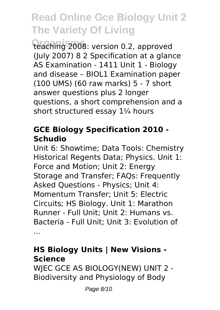teaching 2008: version 0.2, approved (July 2007) 8 2 Specification at a glance AS Examination - 1411 Unit 1 - Biology and disease – BIOL1 Examination paper (100 UMS) (60 raw marks) 5 - 7 short answer questions plus 2 longer questions, a short comprehension and a short structured essay 1¼ hours

### **GCE Biology Specification 2010 - Schudio**

Unit 6: Showtime; Data Tools: Chemistry Historical Regents Data; Physics. Unit 1: Force and Motion; Unit 2: Energy Storage and Transfer; FAQs: Frequently Asked Questions - Physics; Unit 4: Momentum Transfer; Unit 5: Electric Circuits; HS Biology. Unit 1: Marathon Runner - Full Unit; Unit 2: Humans vs. Bacteria - Full Unit; Unit 3: Evolution of ...

### **HS Biology Units | New Visions - Science**

WJEC GCE AS BIOLOGY(NEW) UNIT 2 - Biodiversity and Physiology of Body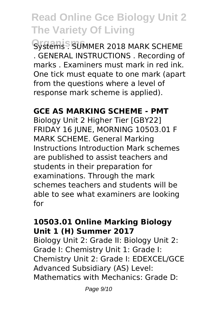Systems . SUMMER 2018 MARK SCHEME . GENERAL INSTRUCTIONS . Recording of marks . Examiners must mark in red ink. One tick must equate to one mark (apart from the questions where a level of response mark scheme is applied).

### **GCE AS MARKING SCHEME - PMT**

Biology Unit 2 Higher Tier [GBY22] FRIDAY 16 JUNE, MORNING 10503.01 F MARK SCHEME. General Marking Instructions Introduction Mark schemes are published to assist teachers and students in their preparation for examinations. Through the mark schemes teachers and students will be able to see what examiners are looking for

#### **10503.01 Online Marking Biology Unit 1 (H) Summer 2017**

Biology Unit 2: Grade II: Biology Unit 2: Grade I: Chemistry Unit 1: Grade I: Chemistry Unit 2: Grade I: EDEXCEL/GCE Advanced Subsidiary (AS) Level: Mathematics with Mechanics: Grade D: